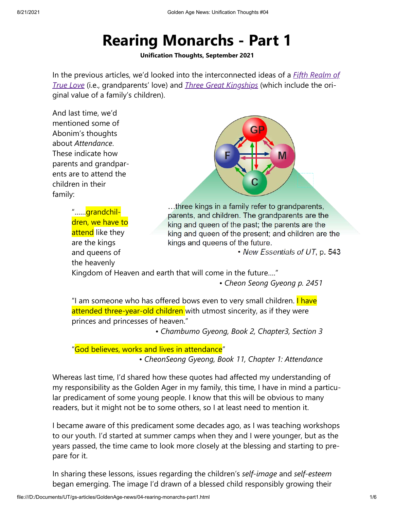## **Rearing Monarchs - Part 1**

**Unification Thoughts, September 2021**

In the previous articles, we'd looked into the interconnected ideas of a *Fifth Realm of True Love* (i.e., grandparents' love) and *Three Great Kingships* (which include the ori‐ ginal value of a family's children).

And last time, we'd mentioned some of Abonim's thoughts about *Attendance*. These indicate how parents and grandpar‐ ents are to attend the children in their family:

> "……grandchil‐ dren, we have to attend like they are the kings and queens of the heavenly



...three kings in a family refer to grandparents, parents, and children. The grandparents are the king and queen of the past; the parents are the king and queen of the present; and children are the kings and queens of the future.

• New Essentials of UT, p. 543

Kingdom of Heaven and earth that will come in the future…."

*• Cheon Seong Gyeong p. 2451*

"I am someone who has offered bows even to very small children. **I have** attended three-year-old children with utmost sincerity, as if they were princes and princesses of heaven."

*• Chambumo Gyeong, Book 2, Chapter3, Section 3*

"God believes, works and lives in attendance"

*• CheonSeong Gyeong, Book 11, Chapter 1: Attendance*

Whereas last time, I'd shared how these quotes had affected my understanding of my responsibility as the Golden Ager in my family, this time, I have in mind a particu‐ lar predicament of some young people. I know that this will be obvious to many readers, but it might not be to some others, so I at least need to mention it.

I became aware of this predicament some decades ago, as I was teaching workshops to our youth. I'd started at summer camps when they and I were younger, but as the years passed, the time came to look more closely at the blessing and starting to pre‐ pare for it.

In sharing these lessons, issues regarding the children's *self-image* and *self-esteem* began emerging. The image I'd drawn of a blessed child responsibly growing their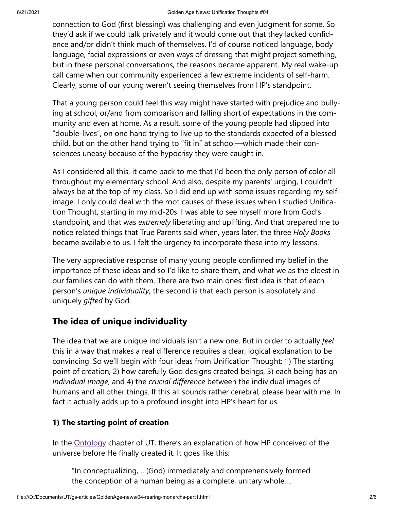connection to God (first blessing) was challenging and even judgment for some. So they'd ask if we could talk privately and it would come out that they lacked confid‐ ence and/or didn't think much of themselves. I'd of course noticed language, body language, facial expressions or even ways of dressing that might project something, but in these personal conversations, the reasons became apparent. My real wake-up call came when our community experienced a few extreme incidents of self-harm. Clearly, some of our young weren't seeing themselves from HP's standpoint.

That a young person could feel this way might have started with prejudice and bully‐ ing at school, or/and from comparison and falling short of expectations in the com‐ munity and even at home. As a result, some of the young people had slipped into "double-lives", on one hand trying to live up to the standards expected of a blessed child, but on the other hand trying to "fit in" at school—which made their con‐ sciences uneasy because of the hypocrisy they were caught in.

As I considered all this, it came back to me that I'd been the only person of color all throughout my elementary school. And also, despite my parents' urging, I couldn't always be at the top of my class. So I did end up with some issues regarding my selfimage. I only could deal with the root causes of these issues when I studied Unification Thought, starting in my mid-20s. I was able to see myself more from God's standpoint, and that was *extremely* liberating and uplifting. And that prepared me to notice related things that True Parents said when, years later, the three *Holy Books* became available to us. I felt the urgency to incorporate these into my lessons.

The very appreciative response of many young people confirmed my belief in the importance of these ideas and so I'd like to share them, and what we as the eldest in our families can do with them. There are two main ones: first idea is that of each person's *unique individuality*; the second is that each person is absolutely and uniquely *gifted* by God.

## **The idea of unique individuality**

The idea that we are unique individuals isn't a new one. But in order to actually *feel* this in a way that makes a real difference requires a clear, logical explanation to be convincing. So we'll begin with four ideas from Unification Thought: 1) The starting point of creation, 2) how carefully God designs created beings, 3) each being has an *individual image*, and 4) the *crucial difference* between the individual images of humans and all other things. If this all sounds rather cerebral, please bear with me. In fact it actually adds up to a profound insight into HP's heart for us.

## **1) The starting point of creation**

In the **Ontology** chapter of UT, there's an explanation of how HP conceived of the universe before He finally created it. It goes like this:

"In conceptualizing, …(God) immediately and comprehensively formed the conception of a human being as a complete, unitary whole….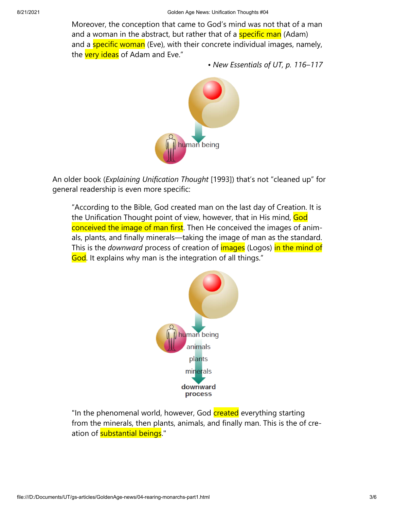Moreover, the conception that came to God's mind was not that of a man and a woman in the abstract, but rather that of a **specific man** (Adam) and a **specific woman** (Eve), with their concrete individual images, namely, the very ideas of Adam and Eve."

*• New Essentials of UT, p. 116–117*



An older book (*Explaining Unification Thought* [1993]) that's not "cleaned up" for general readership is even more specific:

"According to the Bible, God created man on the last day of Creation. It is the Unification Thought point of view, however, that in His mind, God conceived the image of man first. Then He conceived the images of animals, plants, and finally minerals—taking the image of man as the standard. This is the *downward* process of creation of images (Logos) in the mind of God. It explains why man is the integration of all things."



"In the phenomenal world, however, God created everything starting from the minerals, then plants, animals, and finally man. This is the of cre‐ ation of **substantial beings**."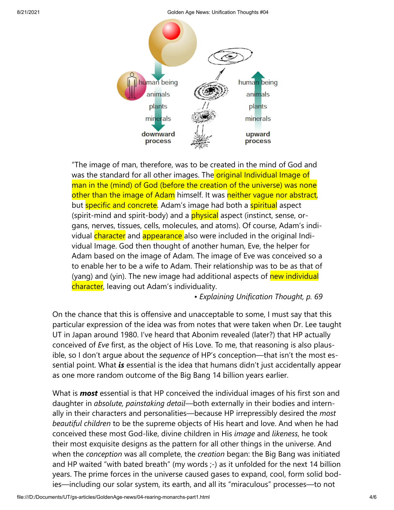8/21/2021 Golden Age News: Unification Thoughts #04



"The image of man, therefore, was to be created in the mind of God and was the standard for all other images. The **original Individual Image of** man in the (mind) of God (before the creation of the universe) was none other than the image of Adam himself. It was neither vague nor abstract, but **specific and concrete**. Adam's image had both a **spiritual** aspect (spirit-mind and spirit-body) and a **physical** aspect (instinct, sense, organs, nerves, tissues, cells, molecules, and atoms). Of course, Adam's indi‐ vidual character and appearance also were included in the original Individual Image. God then thought of another human, Eve, the helper for Adam based on the image of Adam. The image of Eve was conceived so a to enable her to be a wife to Adam. Their relationship was to be as that of (yang) and (yin). The new image had additional aspects of new individual character, leaving out Adam's individuality.

*• Explaining Unification Thought, p. 69*

On the chance that this is offensive and unacceptable to some, I must say that this particular expression of the idea was from notes that were taken when Dr. Lee taught UT in Japan around 1980. I've heard that Abonim revealed (later?) that HP actually conceived of *Eve* first, as the object of His Love. To me, that reasoning is also plaus‐ ible, so I don't argue about the *sequence* of HP's conception—that isn't the most es‐ sential point. What *is* essential is the idea that humans didn't just accidentally appear as one more random outcome of the Big Bang 14 billion years earlier.

What is *most* essential is that HP conceived the individual images of his first son and daughter in *absolute, painstaking detail*—both externally in their bodies and intern‐ ally in their characters and personalities—because HP irrepressibly desired the *most beautiful children* to be the supreme objects of His heart and love. And when he had conceived these most God-like, divine children in His *image* and *likeness*, he took their most exquisite designs as the pattern for all other things in the universe. And when the *conception* was all complete, the *creation* began: the Big Bang was initiated and HP waited "with bated breath" (my words ;-) as it unfolded for the next 14 billion years. The prime forces in the universe caused gases to expand, cool, form solid bod‐ ies—including our solar system, its earth, and all its "miraculous" processes—to not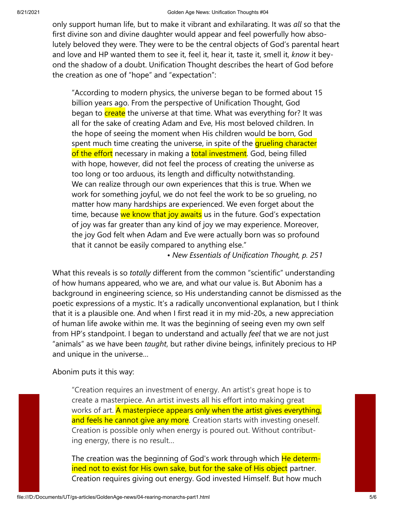only support human life, but to make it vibrant and exhilarating. It was *all* so that the first divine son and divine daughter would appear and feel powerfully how abso‐ lutely beloved they were. They were to be the central objects of God's parental heart and love and HP wanted them to see it, feel it, hear it, taste it, smell it, *know* it bey‐ ond the shadow of a doubt. Unification Thought describes the heart of God before the creation as one of "hope" and "expectation":

"According to modern physics, the universe began to be formed about 15 billion years ago. From the perspective of Unification Thought, God began to create the universe at that time. What was everything for? It was all for the sake of creating Adam and Eve, His most beloved children. In the hope of seeing the moment when His children would be born, God spent much time creating the universe, in spite of the **grueling character** of the effort necessary in making a total investment. God, being filled with hope, however, did not feel the process of creating the universe as too long or too arduous, its length and difficulty notwithstanding. We can realize through our own experiences that this is true. When we work for something joyful, we do not feel the work to be so grueling, no matter how many hardships are experienced. We even forget about the time, because we know that joy awaits us in the future. God's expectation of joy was far greater than any kind of joy we may experience. Moreover, the joy God felt when Adam and Eve were actually born was so profound that it cannot be easily compared to anything else."

*• New Essentials of Unification Thought, p. 251*

What this reveals is so *totally* different from the common "scientific" understanding of how humans appeared, who we are, and what our value is. But Abonim has a background in engineering science, so His understanding cannot be dismissed as the poetic expressions of a mystic. It's a radically unconventional explanation, but I think that it is a plausible one. And when I first read it in my mid-20s, a new appreciation of human life awoke within me. It was the beginning of seeing even my own self from HP's standpoint. I began to understand and actually *feel* that we are not just "animals" as we have been *taught*, but rather divine beings, infinitely precious to HP and unique in the universe…

Abonim puts it this way:

"Creation requires an investment of energy. An artist's great hope is to create a masterpiece. An artist invests all his effort into making great works of art. **A masterpiece appears only when the artist gives everything,** and feels he cannot give any more. Creation starts with investing oneself. Creation is possible only when energy is poured out. Without contribut‐ ing energy, there is no result…

The creation was the beginning of God's work through which He determined not to exist for His own sake, but for the sake of His object partner. Creation requires giving out energy. God invested Himself. But how much